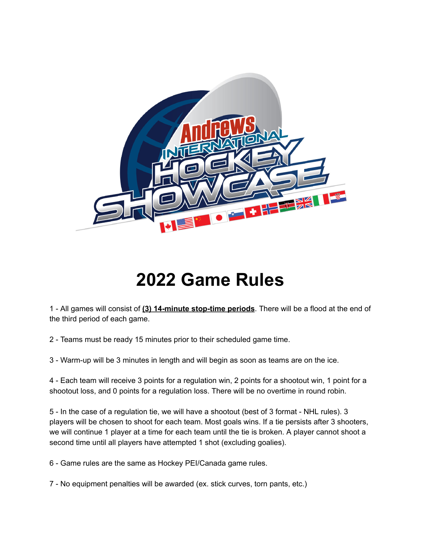

## **Game Rules**

 - All games will consist of **(3) 14-minute stop-time periods**. There will be a flood at the end of the third period of each game.

- Teams must be ready 15 minutes prior to their scheduled game time.

- Warm-up will be 3 minutes in length and will begin as soon as teams are on the ice.

 - Each team will receive 3 points for a regulation win, 2 points for a shootout win, 1 point for a shootout loss, and 0 points for a regulation loss. There will be no overtime in round robin.

 - In the case of a regulation tie, we will have a shootout (best of 3 format - NHL rules). 3 players will be chosen to shoot for each team. Most goals wins. If a tie persists after 3 shooters, we will continue 1 player at a time for each team until the tie is broken. A player cannot shoot a second time until all players have attempted 1 shot (excluding goalies).

- Game rules are the same as Hockey PEI/Canada game rules.

- No equipment penalties will be awarded (ex. stick curves, torn pants, etc.)